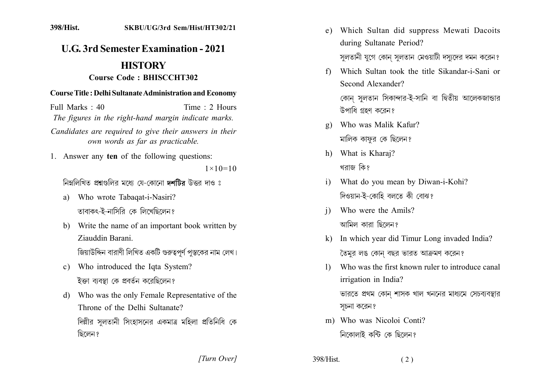# **U.G. 3rd Semester Examination - 2021**

# **HISTORY**

### **Course Code: BHISCCHT302**

#### **Course Title: Delhi Sultanate Administration and Economy**

Full Marks : 40 Time: 2 Hours The figures in the right-hand margin indicate marks. Candidates are required to give their answers in their own words as far as practicable.

1. Answer any ten of the following questions:

 $1 \times 10 = 10$ 

নিম্নলিখিত প্ৰশ্নংগলিব মধ্যে যে-কোনো দশটিৰ উত্তৰ দাও ঃ

- a) Who wrote Tabaqat-i-Nasiri? তাবাকৎ-ই-নাসিরি কে লিখেছিলেন?
- b) Write the name of an important book written by Ziauddin Barani

জিয়াউদ্দিন বারাণী লিখিত একটি গুরুত্বপর্ণ পস্তকের নাম লেখ।

- c) Who introduced the Iqta System? ইক্তা ব্যবস্থা কে প্রবর্তন করেছিলেন?
- d) Who was the only Female Representative of the Throne of the Delhi Sultanate? দিল্লীর সলতানী সিংহাসনের একমাত্র মহিলা প্রতিনিধি কে ছিলেন ?
- e) Which Sultan did suppress Mewati Dacoits during Sultanate Period? সুলতানী যুগে কোন সুলতান মেওয়াটী দস্যদের দমন করেন?
- f) Which Sultan took the title Sikandar-i-Sani or Second Alexander?

কোন সলতান সিকান্দার-ই-সানি বা দ্বিতীয় আলেকজান্ডার উপাধি গ্রহণ করেন?

- Who was Malik Kafur?  $\mathbf{Q}$ মালিক কাফুর কে ছিলেন?
- h) What is Kharaj? খরাজ কিং
- What do you mean by Diwan-i-Kohi?  $\mathbf{i}$ দিওয়ান-ই-কোহি বলতে কী বোঝ?
- Who were the Amils?  $\mathbf{i}$ আমিল কাবা ছিলেন?
- k) In which year did Timur Long invaded India? তৈমুর লঙ কোন বছর ভারত আক্রমণ করেন?
- Who was the first known ruler to introduce canal  $\left| \right|$ irrigation in India?

ভারতে প্রথম কোন শাসক খাল খননের মাধ্যমে সেচব্যবস্থার সচনা করেন?

m) Who was Nicoloj Conti? নিকোলাই কন্টি কে ছিলেন?

[Turn Over]

398/Hist.  $(2)$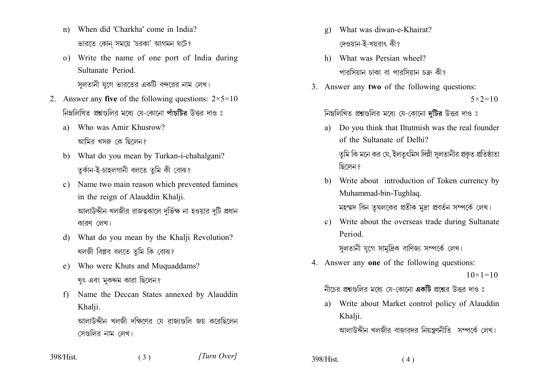- When did 'Charkha' come in India?  $n)$ ভারতে কোন সময়ে 'চরকা' আগমন ঘটে?
- o) Write the name of one port of India during Sultanate Period

সলতানী যুগে ভারতের একটি বন্দরের নাম লেখ।

- 2. Answer any five of the following questions:  $2 \times 5 = 10$ নিম্নলিখিত প্রশ্নগুলির মধ্যে যে-কোনো পাঁচটির উত্তর দাও ঃ
	- a) Who was Amir Khusrow? আমির খসরু কে ছিলেন?
	- b) What do you mean by Turkan-i-chahalgani? তুৰ্কান-ই-চাহলগানী বলতে তুমি কী বোঝ?
	- Name two main reason which prevented famines  $c$ ) in the reign of Alauddin Khalji. আলাউদ্দীন খলজীর রাজত্বকালে দর্ভিক্ষ না হওয়ার দটি প্রধান কারণ লেখ।
	- What do you mean by the Khalii Revolution?  $d$ খলজী বিপ্লব বলতে তুমি কি বোঝ?
	- Who were Khuts and Muquaddams? e) খুৎ এবং মুকদ্দম কারা ছিলেন?
	- Name the Deccan States annexed by Alauddin  $f$ Khalji. আলাউদ্দীন খলজী দক্ষিণের যে রাজাগুলি জয় করেছিলেন সেগুলির নাম লেখ।

 $(3)$ 

- What was diwan-e-Khairat?  $g)$ দেওয়ান-ই-খয়রাৎ কী?
- h) What was Persian wheel? পারসিয়ান চাকা বা পারসিয়ান চক্র কী?
- 3. Answer any two of the following questions:  $5 \times 2 = 10$

### নিম্নলিখিত প্রশ্নগুলির মধ্যে যে-কোনো দুটির উত্তর দাও ঃ

- a) Do you think that Iltutmish was the real founder of the Sultanate of Delhi? তমি কি মনে কর যে, ইলতৎমিস দিল্লী সলতানীর প্রকত প্রতিষ্ঠাতা ছিলেন ?
- b) Write about introduction of Token currency by Muhammad-bin-Tughlaq. মহম্মদ বিন তৃঘলকের প্রতীক মদ্রা প্রবর্তন সম্পর্কে লেখ।
- c) Write about the overseas trade during Sultanate Period

সলতানী যগে সামদ্রিক বাণিজ্য সম্পর্কে লেখ।

4. Answer any one of the following questions:  $10 \times 1 = 10$ 

নীচের প্রশ্নগুলির মধ্যে যে-কোনো একটি প্রশ্নের উত্তর দাও ঃ

a) Write about Market control policy of Alauddin Khalji.

আলাউদ্দীন খলজীর বাজারদর নিয়ন্ত্রণনীতি সম্পর্কে লেখ।

398/Hist.